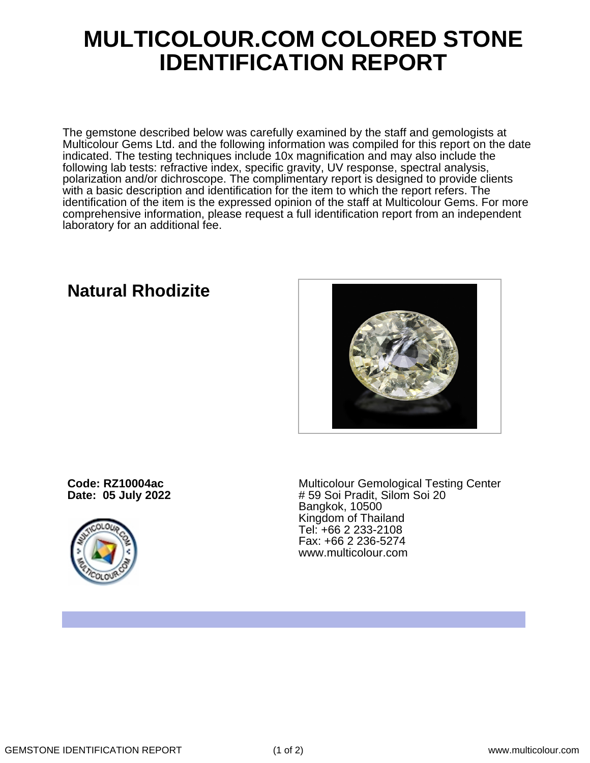## **MULTICOLOUR.COM COLORED STONE IDENTIFICATION REPORT**

The gemstone described below was carefully examined by the staff and gemologists at Multicolour Gems Ltd. and the following information was compiled for this report on the date indicated. The testing techniques include 10x magnification and may also include the following lab tests: refractive index, specific gravity, UV response, spectral analysis, polarization and/or dichroscope. The complimentary report is designed to provide clients with a basic description and identification for the item to which the report refers. The identification of the item is the expressed opinion of the staff at Multicolour Gems. For more comprehensive information, please request a full identification report from an independent laboratory for an additional fee.

## **Natural Rhodizite**



**Code: RZ10004ac Date: 05 July 2022**



Multicolour Gemological Testing Center # 59 Soi Pradit, Silom Soi 20 Bangkok, 10500 Kingdom of Thailand Tel: +66 2 233-2108 Fax: +66 2 236-5274 www.multicolour.com